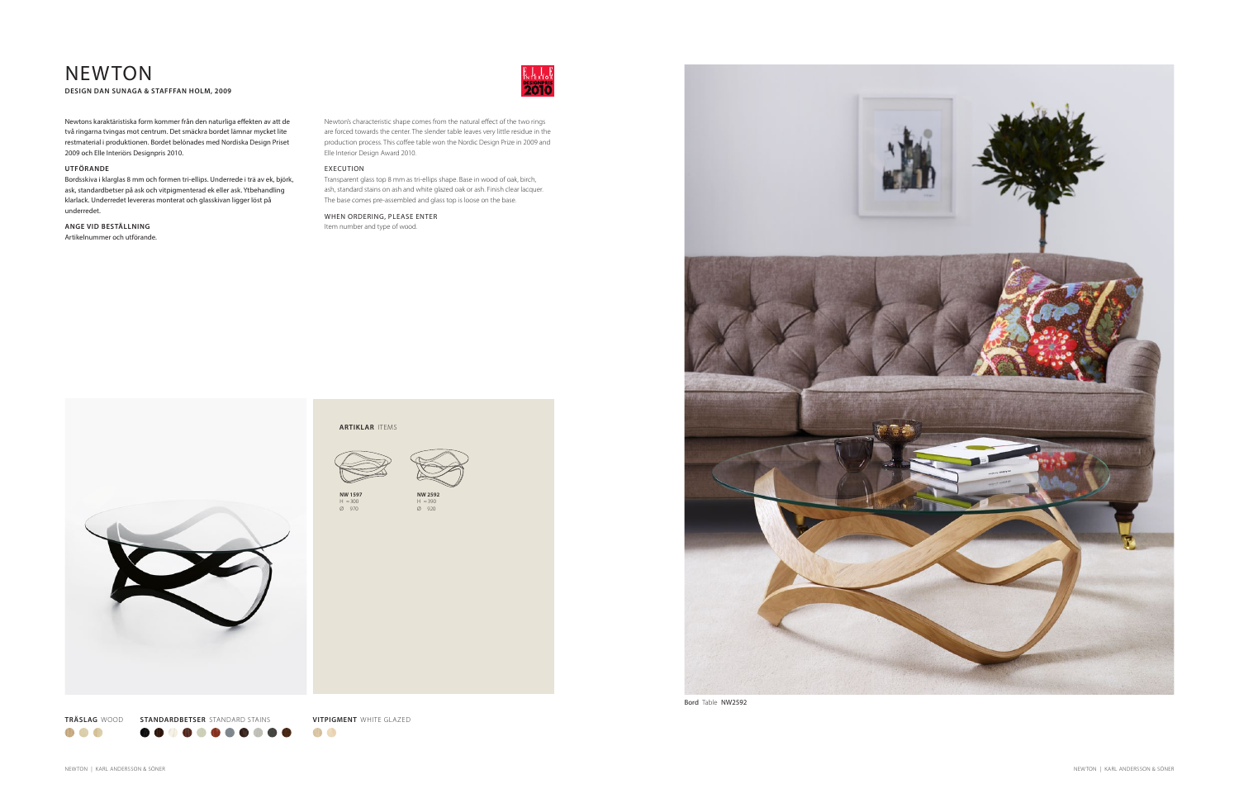Bord Table NW2592

# NEWTON **DESIGN DAN SUNAGA & STAFFFAN HOLM, 2009**

Newton's characteristic shape comes from the natural effect of the two rings are forced towards the center. The slender table leaves very little residue in the production process. This coffee table won the Nordic Design Prize in 2009 and Elle Interior Design Award 2010.

# EXECUTION

Transparent glass top 8 mm as tri-ellips shape. Base in wood of oak, birch, ash, standard stains on ash and white glazed oak or ash. Finish clear lacquer. The base comes pre-assembled and glass top is loose on the base.

## WHEN ORDERING, PLEASE ENTER Item number and type of wood.

Newtons karaktäristiska form kommer från den naturliga effekten av att de två ringarna tvingas mot centrum. Det smäckra bordet lämnar mycket lite restmaterial i produktionen. Bordet belönades med Nordiska Design Priset 2009 och Elle Interiörs Designpris 2010.

## **UTFÖRANDE**

Bordsskiva i klarglas 8 mm och formen tri-ellips. Underrede i trä av ek, björk, ask, standardbetser på ask och vitpigmenterad ek eller ask. Ytbehandling klarlack. Underredet levereras monterat och glasskivan ligger löst på underredet.

# **ANGE VID BESTÄLLNING**

Artikelnummer och utförande.







OD O

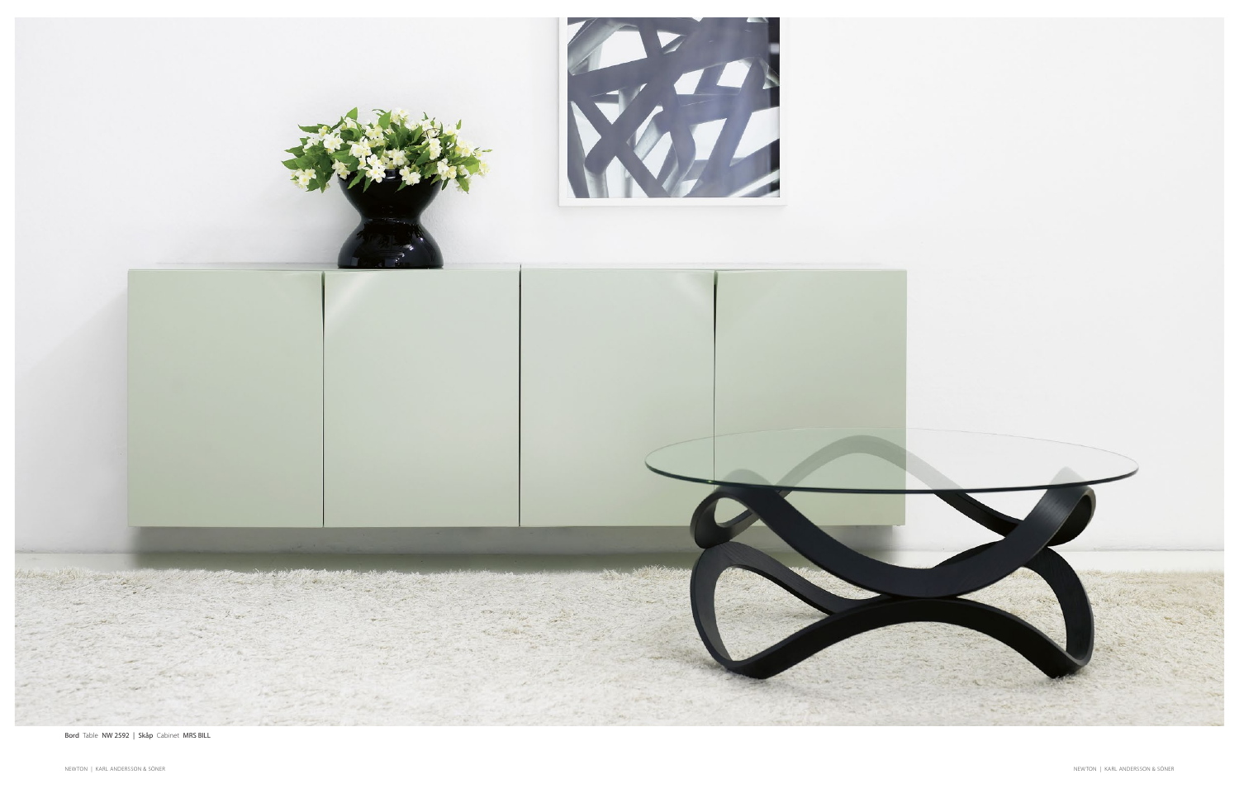

Bord Table NW 2592 | Skåp Cabinet MRS BILL